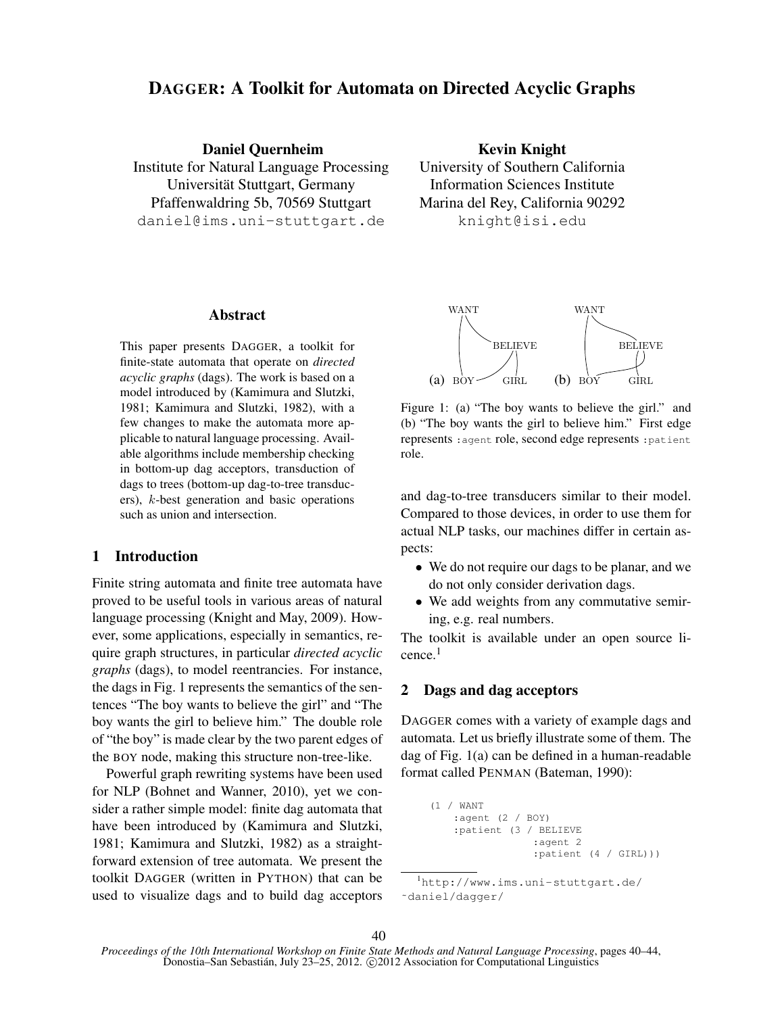# DAGGER: A Toolkit for Automata on Directed Acyclic Graphs

Daniel Quernheim Institute for Natural Language Processing Universität Stuttgart, Germany Pfaffenwaldring 5b, 70569 Stuttgart daniel@ims.uni-stuttgart.de

Abstract

This paper presents DAGGER, a toolkit for finite-state automata that operate on *directed acyclic graphs* (dags). The work is based on a model introduced by (Kamimura and Slutzki, 1981; Kamimura and Slutzki, 1982), with a few changes to make the automata more applicable to natural language processing. Available algorithms include membership checking in bottom-up dag acceptors, transduction of dags to trees (bottom-up dag-to-tree transducers), k-best generation and basic operations such as union and intersection.

# 1 Introduction

Finite string automata and finite tree automata have proved to be useful tools in various areas of natural language processing (Knight and May, 2009). However, some applications, especially in semantics, require graph structures, in particular *directed acyclic graphs* (dags), to model reentrancies. For instance, the dags in Fig. 1 represents the semantics of the sentences "The boy wants to believe the girl" and "The boy wants the girl to believe him." The double role of "the boy" is made clear by the two parent edges of the BOY node, making this structure non-tree-like.

Powerful graph rewriting systems have been used for NLP (Bohnet and Wanner, 2010), yet we consider a rather simple model: finite dag automata that have been introduced by (Kamimura and Slutzki, 1981; Kamimura and Slutzki, 1982) as a straightforward extension of tree automata. We present the toolkit DAGGER (written in PYTHON) that can be used to visualize dags and to build dag acceptors

Kevin Knight University of Southern California Information Sciences Institute Marina del Rey, California 90292 knight@isi.edu



Figure 1: (a) "The boy wants to believe the girl." and (b) "The boy wants the girl to believe him." First edge represents :agent role, second edge represents :patient role.

and dag-to-tree transducers similar to their model. Compared to those devices, in order to use them for actual NLP tasks, our machines differ in certain aspects:

- We do not require our dags to be planar, and we do not only consider derivation dags.
- We add weights from any commutative semiring, e.g. real numbers.

The toolkit is available under an open source licence.<sup>1</sup>

# 2 Dags and dag acceptors

DAGGER comes with a variety of example dags and automata. Let us briefly illustrate some of them. The dag of Fig. 1(a) can be defined in a human-readable format called PENMAN (Bateman, 1990):

> (1 / WANT :agent (2 / BOY) :patient (3 / BELIEVE :agent 2 :patient (4 / GIRL)))

<sup>1</sup>http://www.ims.uni-stuttgart.de/ ˜daniel/dagger/

*Proceedings of the 10th International Workshop on Finite State Methods and Natural Language Processing*, pages 40–44, Donostia–San Sebastián, July 23–25, 2012. © 2012 Association for Computational Linguistics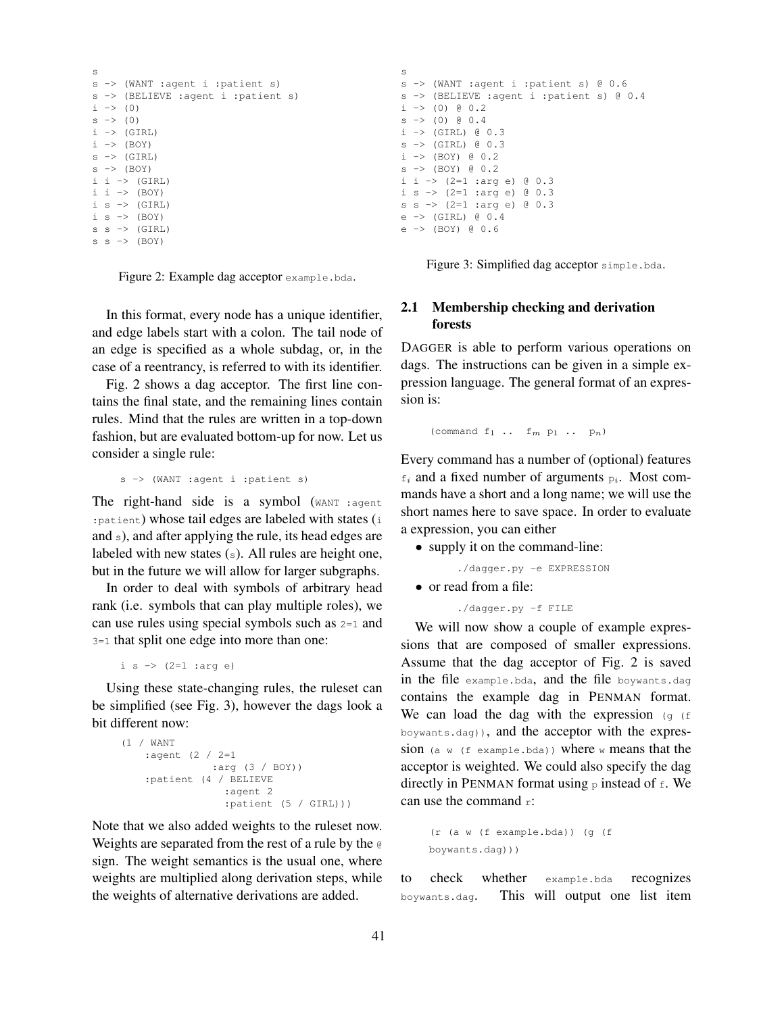```
s
s -> (WANT :agent i :patient s)
s -> (BELIEVE :agent i :patient s)
i \rightarrow (0)s \rightarrow (0)i \rightarrow (GIRL)
i \rightarrow (BOY)s \rightarrow (GTRL)
s \rightarrow (BOY)i i \rightarrow (GIRL)
i i \rightarrow (BOY)
i s \rightarrow (GIRL)
i s \rightarrow (BOY)
s s \rightarrow (GIRL)
s s -> (BOY)
```
Figure 2: Example dag acceptor example.bda.

In this format, every node has a unique identifier, and edge labels start with a colon. The tail node of an edge is specified as a whole subdag, or, in the case of a reentrancy, is referred to with its identifier.

Fig. 2 shows a dag acceptor. The first line contains the final state, and the remaining lines contain rules. Mind that the rules are written in a top-down fashion, but are evaluated bottom-up for now. Let us consider a single rule:

```
s -> (WANT :agent i :patient s)
```
The right-hand side is a symbol (WANT : agent :patient) whose tail edges are labeled with states (i and s), and after applying the rule, its head edges are labeled with new states (s). All rules are height one, but in the future we will allow for larger subgraphs.

In order to deal with symbols of arbitrary head rank (i.e. symbols that can play multiple roles), we can use rules using special symbols such as  $2=1$  and 3=1 that split one edge into more than one:

```
i s \rightarrow (2=1 : arg e)
```
Using these state-changing rules, the ruleset can be simplified (see Fig. 3), however the dags look a bit different now:

```
(1 / WANT
   :agent (2 / 2=1
              :arg (3 / BOY))
    :patient (4 / BELIEVE
                :agent 2
                 :patient (5 / GIRL)))
```
Note that we also added weights to the ruleset now. Weights are separated from the rest of a rule by the @ sign. The weight semantics is the usual one, where weights are multiplied along derivation steps, while the weights of alternative derivations are added.

```
s
s -> (WANT :agent i :patient s) @ 0.6
s -> (BELIEVE :agent i :patient s) @ 0.4
i \rightarrow (0) @ 0.2
s \rightarrow (0) \theta 0.4
i \rightarrow (GIRL) @ 0.3
s \rightarrow (GIRL) 0.3i \rightarrow (BOY) (0, 2)s \rightarrow (BOY) @ 0.2
i i -> (2=1 :arg e) @ 0.3
i s \rightarrow (2=1 :arg e) @ 0.3
s s -> (2=1 :arg e) @ 0.3
e -> (GIRL) 0.4e -> (BOY) @ 0.6
```
Figure 3: Simplified dag acceptor simple.bda.

### 2.1 Membership checking and derivation forests

DAGGER is able to perform various operations on dags. The instructions can be given in a simple expression language. The general format of an expression is:

(command  $f_1 \ldots f_m$   $p_1 \ldots p_n$ )

Every command has a number of (optional) features  $f_i$  and a fixed number of arguments  $p_i$ . Most commands have a short and a long name; we will use the short names here to save space. In order to evaluate a expression, you can either

- supply it on the command-line:
	- ./dagger.py -e EXPRESSION
- or read from a file:

./dagger.py -f FILE

We will now show a couple of example expressions that are composed of smaller expressions. Assume that the dag acceptor of Fig. 2 is saved in the file example.bda, and the file boywants.dag contains the example dag in PENMAN format. We can load the dag with the expression  $(g \in \mathbb{R})$ boywants.dag)), and the acceptor with the expression (a w (f example.bda)) where w means that the acceptor is weighted. We could also specify the dag directly in PENMAN format using  $\frac{1}{p}$  instead of  $\frac{1}{p}$ . We can use the command r:

```
(r (a w (f example.bda)) (g (f
boywants.dag)))
```
to check whether example.bda recognizes boywants.dag. This will output one list item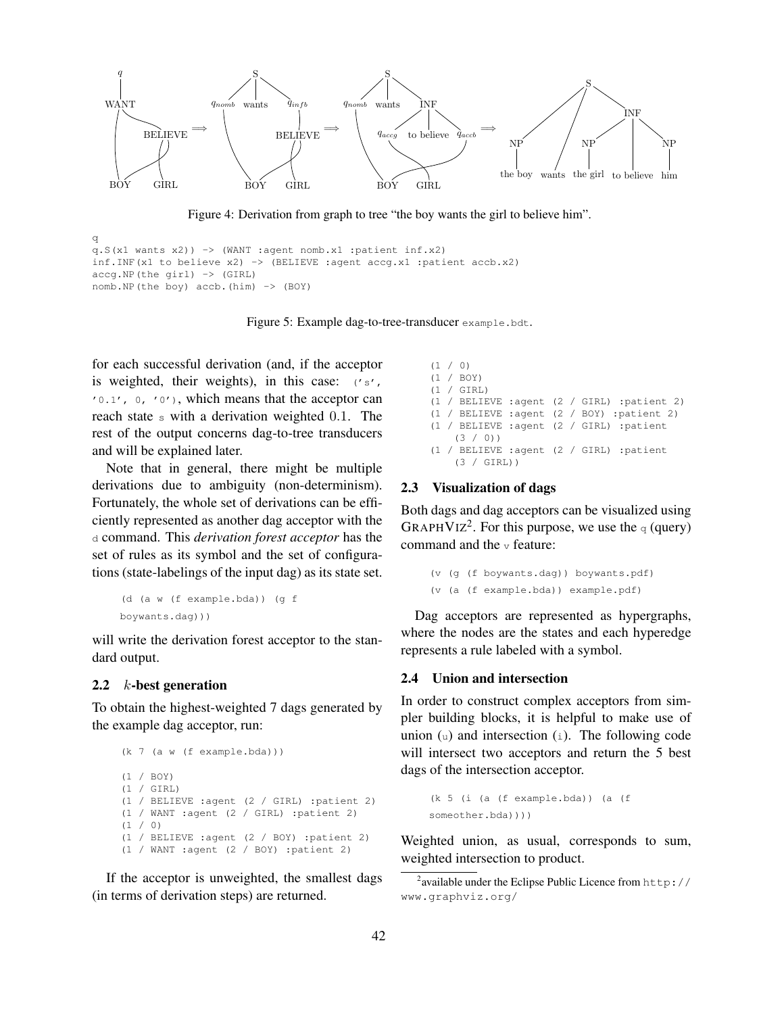

Figure 4: Derivation from graph to tree "the boy wants the girl to believe him".

```
q
q.S(x1 \text{ wants } x2)) -> (WANT :agent nomb.x1 :patient inf.x2)
inf.INF(x1 to believe x2) \rightarrow (BELIEVE :agent accg.x1 :patient accb.x2)
accg.NP(the girl) -> (GIRL)
nomb.NP(the boy) accb.(him) -> (BOY)
```
Figure 5: Example dag-to-tree-transducer example.bdt.

for each successful derivation (and, if the acceptor is weighted, their weights), in this case: ('s', '0.1', 0, '0'), which means that the acceptor can reach state s with a derivation weighted 0.1. The rest of the output concerns dag-to-tree transducers and will be explained later.

Note that in general, there might be multiple derivations due to ambiguity (non-determinism). Fortunately, the whole set of derivations can be efficiently represented as another dag acceptor with the d command. This *derivation forest acceptor* has the set of rules as its symbol and the set of configurations (state-labelings of the input dag) as its state set.

```
(d (a w (f example.bda)) (g f
boywants.dag)))
```
will write the derivation forest acceptor to the standard output.

#### 2.2 k-best generation

To obtain the highest-weighted 7 dags generated by the example dag acceptor, run:

```
(k 7 (a w (f example.bda)))
(1 / BOY)
(1 / GIRL)
(1 / BELIEVE :agent (2 / GIRL) :patient 2)
(1 / WANT :agent (2 / GIRL) :patient 2)
(1 / 0)(1 / BELIEVE :agent (2 / BOY) :patient 2)
(1 / WANT :agent (2 / BOY) :patient 2)
```
If the acceptor is unweighted, the smallest dags (in terms of derivation steps) are returned.

```
(1 / 0)(1 / BOY)
(1 / GIRL)
(1 / BELIEVE :agent (2 / GIRL) :patient 2)
(1 / BELIEVE :agent (2 / BOY) :patient 2)
(1 / BELIEVE :agent (2 / GIRL) :patient
    (3 / 0))
(1 / BELIEVE :agent (2 / GIRL) :patient
    (3 / GIRL))
```
#### 2.3 Visualization of dags

Both dags and dag acceptors can be visualized using GRAPHVIZ<sup>2</sup>. For this purpose, we use the q (query) command and the  $\nu$  feature:

```
(v (g (f boywants.dag)) boywants.pdf)
(v (a (f example.bda)) example.pdf)
```
Dag acceptors are represented as hypergraphs, where the nodes are the states and each hyperedge represents a rule labeled with a symbol.

#### 2.4 Union and intersection

In order to construct complex acceptors from simpler building blocks, it is helpful to make use of union  $(u)$  and intersection  $(i)$ . The following code will intersect two acceptors and return the 5 best dags of the intersection acceptor.

```
(k 5 (i (a (f example.bda)) (a (f
someother.bda))))
```
Weighted union, as usual, corresponds to sum, weighted intersection to product.

<sup>&</sup>lt;sup>2</sup> available under the Eclipse Public Licence from  $http://$ www.graphviz.org/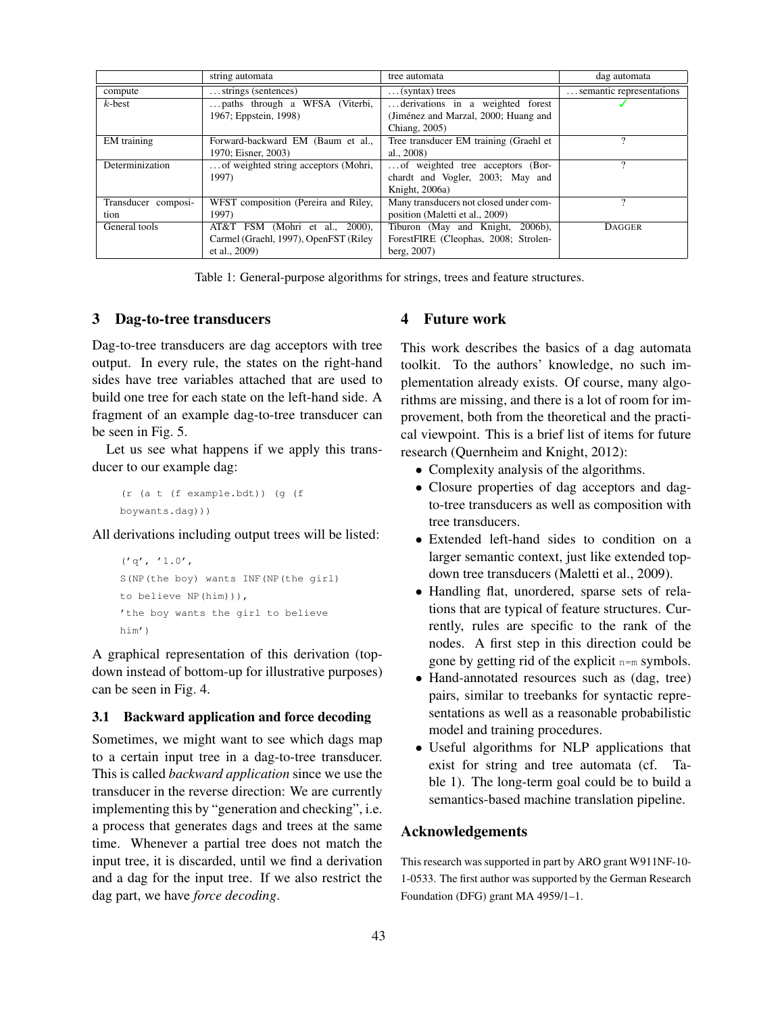|                     | string automata                       | tree automata                          | dag automata             |
|---------------------|---------------------------------------|----------------------------------------|--------------------------|
| compute             | strings (sentences)                   | $\ldots$ (syntax) trees                | semantic representations |
| $k$ -best           | paths through a WFSA (Viterbi,        | derivations in a weighted forest       |                          |
|                     | 1967; Eppstein, 1998)                 | (Jiménez and Marzal, 2000; Huang and   |                          |
|                     |                                       | Chiang, 2005)                          |                          |
| <b>EM</b> training  | Forward-backward EM (Baum et al.,     | Tree transducer EM training (Graehl et |                          |
|                     | 1970; Eisner, 2003)                   | al., 2008)                             |                          |
| Determinization     | of weighted string acceptors (Mohri,  | of weighted tree acceptors (Bor-       |                          |
|                     | 1997)                                 | chardt and Vogler, 2003; May and       |                          |
|                     |                                       | Knight, 2006a)                         |                          |
| Transducer composi- | WFST composition (Pereira and Riley,  | Many transducers not closed under com- |                          |
| tion                | 1997)                                 | position (Maletti et al., 2009)        |                          |
| General tools       | AT&T FSM (Mohri et al., 2000),        | Tiburon (May and Knight, 2006b),       | <b>DAGGER</b>            |
|                     | Carmel (Graehl, 1997), OpenFST (Riley | ForestFIRE (Cleophas, 2008; Strolen-   |                          |
|                     | et al., 2009)                         | berg, 2007)                            |                          |

Table 1: General-purpose algorithms for strings, trees and feature structures.

## 3 Dag-to-tree transducers

Dag-to-tree transducers are dag acceptors with tree output. In every rule, the states on the right-hand sides have tree variables attached that are used to build one tree for each state on the left-hand side. A fragment of an example dag-to-tree transducer can be seen in Fig. 5.

Let us see what happens if we apply this transducer to our example dag:

(r (a t (f example.bdt)) (g (f boywants.dag)))

All derivations including output trees will be listed:

```
('q', '1.0',S(NP(the boy) wants INF(NP(the girl)
to believe NP(him))),
'the boy wants the girl to believe
him')
```
A graphical representation of this derivation (topdown instead of bottom-up for illustrative purposes) can be seen in Fig. 4.

#### 3.1 Backward application and force decoding

Sometimes, we might want to see which dags map to a certain input tree in a dag-to-tree transducer. This is called *backward application* since we use the transducer in the reverse direction: We are currently implementing this by "generation and checking", i.e. a process that generates dags and trees at the same time. Whenever a partial tree does not match the input tree, it is discarded, until we find a derivation and a dag for the input tree. If we also restrict the dag part, we have *force decoding*.

## 4 Future work

This work describes the basics of a dag automata toolkit. To the authors' knowledge, no such implementation already exists. Of course, many algorithms are missing, and there is a lot of room for improvement, both from the theoretical and the practical viewpoint. This is a brief list of items for future research (Quernheim and Knight, 2012):

- Complexity analysis of the algorithms.
- Closure properties of dag acceptors and dagto-tree transducers as well as composition with tree transducers.
- Extended left-hand sides to condition on a larger semantic context, just like extended topdown tree transducers (Maletti et al., 2009).
- Handling flat, unordered, sparse sets of relations that are typical of feature structures. Currently, rules are specific to the rank of the nodes. A first step in this direction could be gone by getting rid of the explicit  $n=m$  symbols.
- Hand-annotated resources such as (dag, tree) pairs, similar to treebanks for syntactic representations as well as a reasonable probabilistic model and training procedures.
- Useful algorithms for NLP applications that exist for string and tree automata (cf. Table 1). The long-term goal could be to build a semantics-based machine translation pipeline.

#### Acknowledgements

This research was supported in part by ARO grant W911NF-10- 1-0533. The first author was supported by the German Research Foundation (DFG) grant MA 4959/1–1.